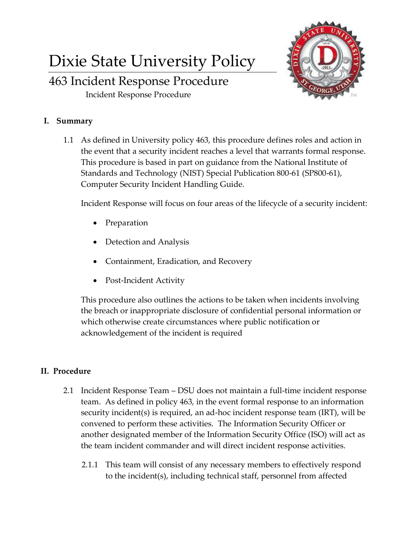## Dixie State University Policy

## 463 Incident Response Procedure

Incident Response Procedure



1.1 As defined in University policy 463, this procedure defines roles and action in the event that a security incident reaches a level that warrants formal response. This procedure is based in part on guidance from the National Institute of Standards and Technology (NIST) Special Publication 800-61 (SP800-61), Computer Security Incident Handling Guide.

Incident Response will focus on four areas of the lifecycle of a security incident:

- Preparation
- Detection and Analysis
- Containment, Eradication, and Recovery
- Post-Incident Activity

This procedure also outlines the actions to be taken when incidents involving the breach or inappropriate disclosure of confidential personal information or which otherwise create circumstances where public notification or acknowledgement of the incident is required

## **II. Procedure**

- 2.1 Incident Response Team DSU does not maintain a full-time incident response team. As defined in policy 463, in the event formal response to an information security incident(s) is required, an ad-hoc incident response team (IRT), will be convened to perform these activities. The Information Security Officer or another designated member of the Information Security Office (ISO) will act as the team incident commander and will direct incident response activities.
	- 2.1.1 This team will consist of any necessary members to effectively respond to the incident(s), including technical staff, personnel from affected

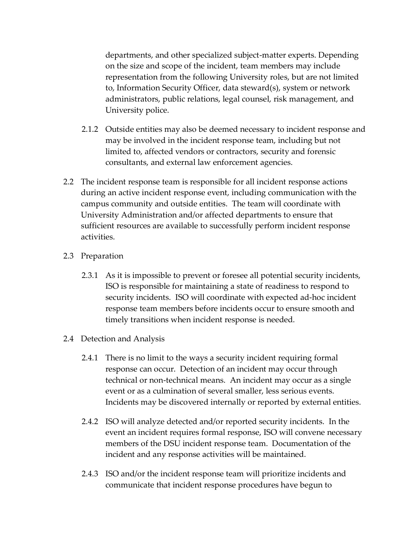departments, and other specialized subject-matter experts. Depending on the size and scope of the incident, team members may include representation from the following University roles, but are not limited to, Information Security Officer, data steward(s), system or network administrators, public relations, legal counsel, risk management, and University police.

- 2.1.2 Outside entities may also be deemed necessary to incident response and may be involved in the incident response team, including but not limited to, affected vendors or contractors, security and forensic consultants, and external law enforcement agencies.
- 2.2 The incident response team is responsible for all incident response actions during an active incident response event, including communication with the campus community and outside entities. The team will coordinate with University Administration and/or affected departments to ensure that sufficient resources are available to successfully perform incident response activities.
- 2.3 Preparation
	- 2.3.1 As it is impossible to prevent or foresee all potential security incidents, ISO is responsible for maintaining a state of readiness to respond to security incidents. ISO will coordinate with expected ad-hoc incident response team members before incidents occur to ensure smooth and timely transitions when incident response is needed.
- 2.4 Detection and Analysis
	- 2.4.1 There is no limit to the ways a security incident requiring formal response can occur. Detection of an incident may occur through technical or non-technical means. An incident may occur as a single event or as a culmination of several smaller, less serious events. Incidents may be discovered internally or reported by external entities.
	- 2.4.2 ISO will analyze detected and/or reported security incidents. In the event an incident requires formal response, ISO will convene necessary members of the DSU incident response team. Documentation of the incident and any response activities will be maintained.
	- 2.4.3 ISO and/or the incident response team will prioritize incidents and communicate that incident response procedures have begun to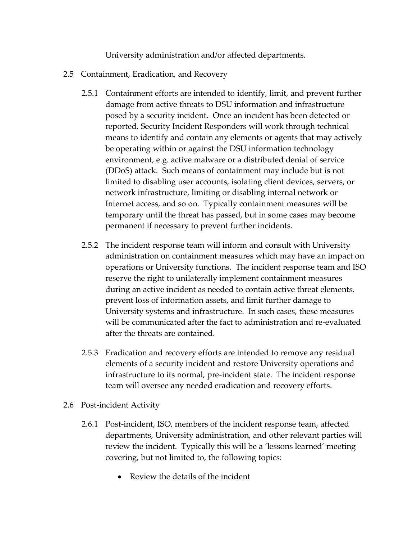University administration and/or affected departments.

- 2.5 Containment, Eradication, and Recovery
	- 2.5.1 Containment efforts are intended to identify, limit, and prevent further damage from active threats to DSU information and infrastructure posed by a security incident. Once an incident has been detected or reported, Security Incident Responders will work through technical means to identify and contain any elements or agents that may actively be operating within or against the DSU information technology environment, e.g. active malware or a distributed denial of service (DDoS) attack. Such means of containment may include but is not limited to disabling user accounts, isolating client devices, servers, or network infrastructure, limiting or disabling internal network or Internet access, and so on. Typically containment measures will be temporary until the threat has passed, but in some cases may become permanent if necessary to prevent further incidents.
	- 2.5.2 The incident response team will inform and consult with University administration on containment measures which may have an impact on operations or University functions. The incident response team and ISO reserve the right to unilaterally implement containment measures during an active incident as needed to contain active threat elements, prevent loss of information assets, and limit further damage to University systems and infrastructure. In such cases, these measures will be communicated after the fact to administration and re-evaluated after the threats are contained.
	- 2.5.3 Eradication and recovery efforts are intended to remove any residual elements of a security incident and restore University operations and infrastructure to its normal, pre-incident state. The incident response team will oversee any needed eradication and recovery efforts.
- 2.6 Post-incident Activity
	- 2.6.1 Post-incident, ISO, members of the incident response team, affected departments, University administration, and other relevant parties will review the incident. Typically this will be a 'lessons learned' meeting covering, but not limited to, the following topics:
		- Review the details of the incident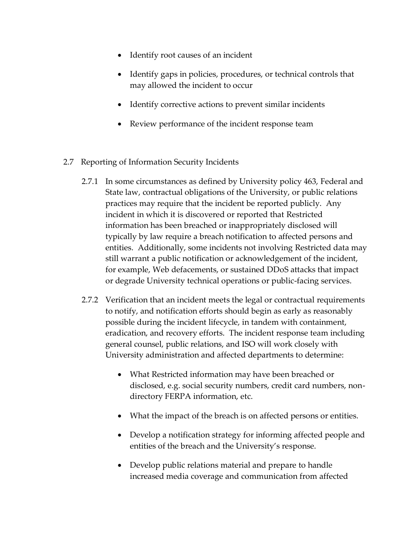- Identify root causes of an incident
- Identify gaps in policies, procedures, or technical controls that may allowed the incident to occur
- Identify corrective actions to prevent similar incidents
- Review performance of the incident response team
- 2.7 Reporting of Information Security Incidents
	- 2.7.1 In some circumstances as defined by University policy 463, Federal and State law, contractual obligations of the University, or public relations practices may require that the incident be reported publicly. Any incident in which it is discovered or reported that Restricted information has been breached or inappropriately disclosed will typically by law require a breach notification to affected persons and entities. Additionally, some incidents not involving Restricted data may still warrant a public notification or acknowledgement of the incident, for example, Web defacements, or sustained DDoS attacks that impact or degrade University technical operations or public-facing services.
	- 2.7.2 Verification that an incident meets the legal or contractual requirements to notify, and notification efforts should begin as early as reasonably possible during the incident lifecycle, in tandem with containment, eradication, and recovery efforts. The incident response team including general counsel, public relations, and ISO will work closely with University administration and affected departments to determine:
		- What Restricted information may have been breached or disclosed, e.g. social security numbers, credit card numbers, nondirectory FERPA information, etc.
		- What the impact of the breach is on affected persons or entities.
		- Develop a notification strategy for informing affected people and entities of the breach and the University's response.
		- Develop public relations material and prepare to handle increased media coverage and communication from affected